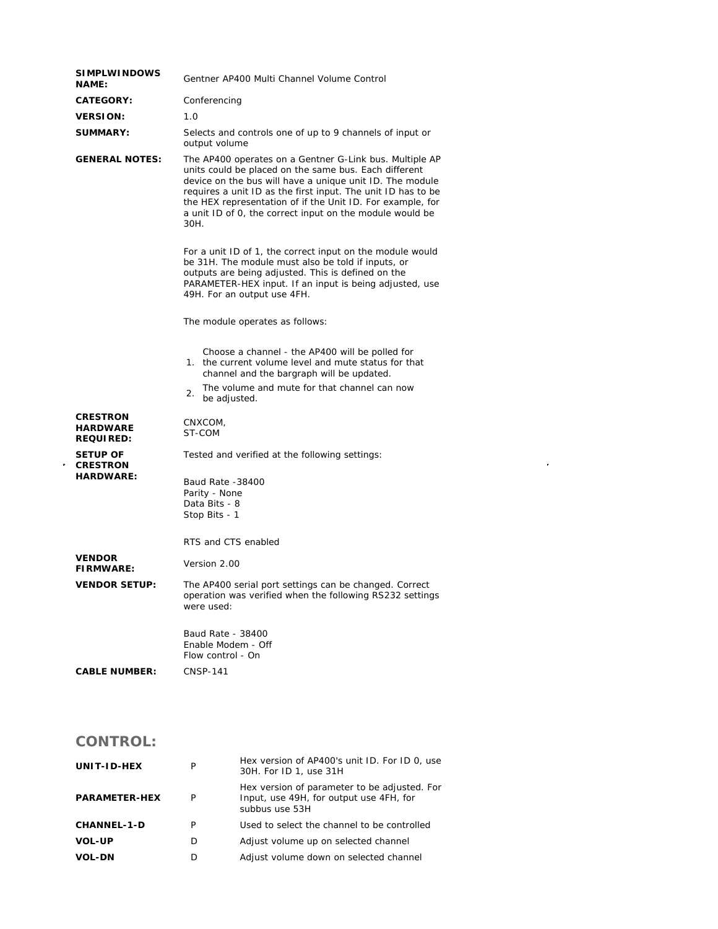| <b>SIMPLWINDOWS</b><br><b>NAME:</b>                    | Gentner AP400 Multi Channel Volume Control                                                                                                                                                                                                                                                                                                                                     |  |  |
|--------------------------------------------------------|--------------------------------------------------------------------------------------------------------------------------------------------------------------------------------------------------------------------------------------------------------------------------------------------------------------------------------------------------------------------------------|--|--|
| <b>CATEGORY:</b>                                       | Conferencing                                                                                                                                                                                                                                                                                                                                                                   |  |  |
| <b>VERSION:</b>                                        | 1.0                                                                                                                                                                                                                                                                                                                                                                            |  |  |
| <b>SUMMARY:</b>                                        | Selects and controls one of up to 9 channels of input or<br>output volume                                                                                                                                                                                                                                                                                                      |  |  |
| <b>GENERAL NOTES:</b>                                  | The AP400 operates on a Gentner G-Link bus. Multiple AP<br>units could be placed on the same bus. Each different<br>device on the bus will have a unique unit ID. The module<br>requires a unit ID as the first input. The unit ID has to be<br>the HEX representation of if the Unit ID. For example, for<br>a unit ID of 0, the correct input on the module would be<br>30H. |  |  |
|                                                        | For a unit ID of 1, the correct input on the module would<br>be 31H. The module must also be told if inputs, or<br>outputs are being adjusted. This is defined on the<br>PARAMETER-HEX input. If an input is being adjusted, use<br>49H. For an output use 4FH.                                                                                                                |  |  |
|                                                        | The module operates as follows:                                                                                                                                                                                                                                                                                                                                                |  |  |
|                                                        | Choose a channel - the AP400 will be polled for<br>1. the current volume level and mute status for that<br>channel and the bargraph will be updated.<br>The volume and mute for that channel can now<br>2.<br>be adjusted.                                                                                                                                                     |  |  |
| <b>CRESTRON</b><br><b>HARDWARE</b><br><b>REQUIRED:</b> | CNXCOM,<br>ST-COM                                                                                                                                                                                                                                                                                                                                                              |  |  |
| SETUP OF<br><b>CRESTRON</b><br><b>HARDWARE:</b>        | Tested and verified at the following settings:<br>Baud Rate -38400<br>Parity - None<br>Data Bits - 8                                                                                                                                                                                                                                                                           |  |  |
|                                                        | Stop Bits - 1<br>RTS and CTS enabled                                                                                                                                                                                                                                                                                                                                           |  |  |
| <b>VENDOR</b><br><b>FIRMWARE:</b>                      | Version 2.00                                                                                                                                                                                                                                                                                                                                                                   |  |  |
| <b>VENDOR SETUP:</b>                                   | The AP400 serial port settings can be changed. Correct<br>operation was verified when the following RS232 settings<br>were used:                                                                                                                                                                                                                                               |  |  |
|                                                        | Baud Rate - 38400<br>Enable Modem - Off<br>Flow control - On                                                                                                                                                                                                                                                                                                                   |  |  |
| <b>CABLE NUMBER:</b>                                   | <b>CNSP-141</b>                                                                                                                                                                                                                                                                                                                                                                |  |  |

 $\label{eq:2.1} \frac{1}{\sqrt{2}}\int_{\mathbb{R}^3}\frac{1}{\sqrt{2}}\left(\frac{1}{\sqrt{2}}\right)^2\frac{1}{\sqrt{2}}\left(\frac{1}{\sqrt{2}}\right)^2\frac{1}{\sqrt{2}}\left(\frac{1}{\sqrt{2}}\right)^2\frac{1}{\sqrt{2}}\left(\frac{1}{\sqrt{2}}\right)^2.$ 

## **CONTROL:**

| UNIT-ID-HEX          | P | Hex version of AP400's unit ID. For ID 0, use<br>30H. For ID 1, use 31H                                   |
|----------------------|---|-----------------------------------------------------------------------------------------------------------|
| <b>PARAMETER-HEX</b> | P | Hex version of parameter to be adjusted. For<br>Input, use 49H, for output use 4FH, for<br>subbus use 53H |
| <b>CHANNEL-1-D</b>   | P | Used to select the channel to be controlled                                                               |
| <b>VOL-UP</b>        | D | Adjust volume up on selected channel                                                                      |
| <b>VOL-DN</b>        | D | Adjust volume down on selected channel                                                                    |